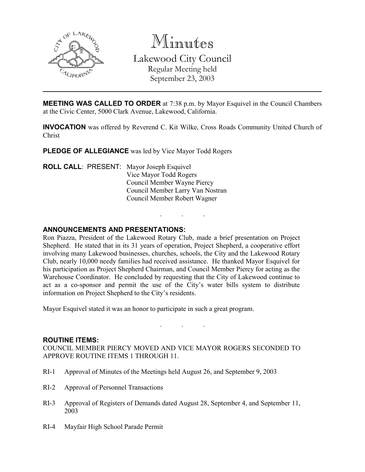

Minutes Lakewood City Council Regular Meeting held

September 23, 2003

MEETING WAS CALLED TO ORDER at 7:38 p.m. by Mayor Esquivel in the Council Chambers at the Civic Center, 5000 Clark Avenue, Lakewood, California.

INVOCATION was offered by Reverend C. Kit Wilke, Cross Roads Community United Church of Christ

. . .

PLEDGE OF ALLEGIANCE was led by Vice Mayor Todd Rogers

ROLL CALL: PRESENT: Mayor Joseph Esquivel Vice Mayor Todd Rogers Council Member Wayne Piercy Council Member Larry Van Nostran Council Member Robert Wagner

## ANNOUNCEMENTS AND PRESENTATIONS:

Ron Piazza, President of the Lakewood Rotary Club, made a brief presentation on Project Shepherd. He stated that in its 31 years of operation, Project Shepherd, a cooperative effort involving many Lakewood businesses, churches, schools, the City and the Lakewood Rotary Club, nearly 10,000 needy families had received assistance. He thanked Mayor Esquivel for his participation as Project Shepherd Chairman, and Council Member Piercy for acting as the Warehouse Coordinator. He concluded by requesting that the City of Lakewood continue to act as a co-sponsor and permit the use of the City's water bills system to distribute information on Project Shepherd to the City's residents.

Mayor Esquivel stated it was an honor to participate in such a great program.

## ROUTINE ITEMS:

COUNCIL MEMBER PIERCY MOVED AND VICE MAYOR ROGERS SECONDED TO APPROVE ROUTINE ITEMS 1 THROUGH 11.

. . .

- RI-1 Approval of Minutes of the Meetings held August 26, and September 9, 2003
- RI-2 Approval of Personnel Transactions
- RI-3 Approval of Registers of Demands dated August 28, September 4, and September 11, 2003
- RI-4 Mayfair High School Parade Permit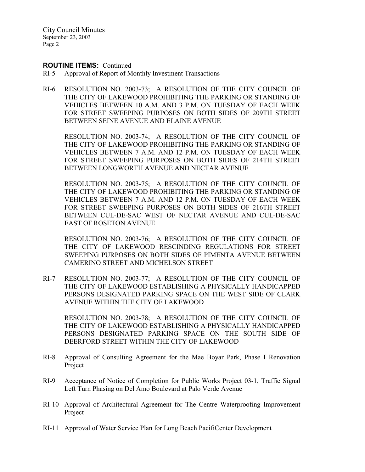City Council Minutes September 23, 2003 Page 2

### ROUTINE ITEMS: Continued

- RI-5 Approval of Report of Monthly Investment Transactions
- RI-6 RESOLUTION NO. 2003-73; A RESOLUTION OF THE CITY COUNCIL OF THE CITY OF LAKEWOOD PROHIBITING THE PARKING OR STANDING OF VEHICLES BETWEEN 10 A.M. AND 3 P.M. ON TUESDAY OF EACH WEEK FOR STREET SWEEPING PURPOSES ON BOTH SIDES OF 209TH STREET BETWEEN SEINE AVENUE AND ELAINE AVENUE

RESOLUTION NO. 2003-74; A RESOLUTION OF THE CITY COUNCIL OF THE CITY OF LAKEWOOD PROHIBITING THE PARKING OR STANDING OF VEHICLES BETWEEN 7 A.M. AND 12 P.M. ON TUESDAY OF EACH WEEK FOR STREET SWEEPING PURPOSES ON BOTH SIDES OF 214TH STREET BETWEEN LONGWORTH AVENUE AND NECTAR AVENUE

RESOLUTION NO. 2003-75; A RESOLUTION OF THE CITY COUNCIL OF THE CITY OF LAKEWOOD PROHIBITING THE PARKING OR STANDING OF VEHICLES BETWEEN 7 A.M. AND 12 P.M. ON TUESDAY OF EACH WEEK FOR STREET SWEEPING PURPOSES ON BOTH SIDES OF 216TH STREET BETWEEN CUL-DE-SAC WEST OF NECTAR AVENUE AND CUL-DE-SAC EAST OF ROSETON AVENUE

RESOLUTION NO. 2003-76; A RESOLUTION OF THE CITY COUNCIL OF THE CITY OF LAKEWOOD RESCINDING REGULATIONS FOR STREET SWEEPING PURPOSES ON BOTH SIDES OF PIMENTA AVENUE BETWEEN CAMERINO STREET AND MICHELSON STREET

RI-7 RESOLUTION NO. 2003-77; A RESOLUTION OF THE CITY COUNCIL OF THE CITY OF LAKEWOOD ESTABLISHING A PHYSICALLY HANDICAPPED PERSONS DESIGNATED PARKING SPACE ON THE WEST SIDE OF CLARK AVENUE WITHIN THE CITY OF LAKEWOOD

RESOLUTION NO. 2003-78; A RESOLUTION OF THE CITY COUNCIL OF THE CITY OF LAKEWOOD ESTABLISHING A PHYSICALLY HANDICAPPED PERSONS DESIGNATED PARKING SPACE ON THE SOUTH SIDE OF DEERFORD STREET WITHIN THE CITY OF LAKEWOOD

- RI-8 Approval of Consulting Agreement for the Mae Boyar Park, Phase I Renovation Project
- RI-9 Acceptance of Notice of Completion for Public Works Project 03-1, Traffic Signal Left Turn Phasing on Del Amo Boulevard at Palo Verde Avenue
- RI-10 Approval of Architectural Agreement for The Centre Waterproofing Improvement Project
- RI-11 Approval of Water Service Plan for Long Beach PacifiCenter Development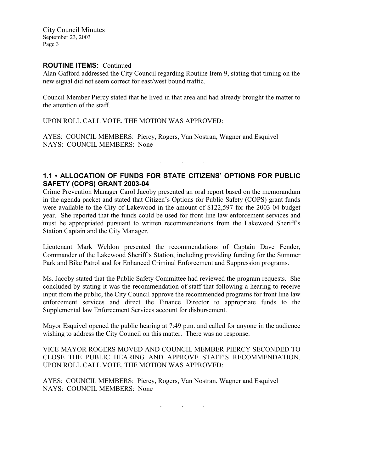City Council Minutes September 23, 2003 Page 3

## ROUTINE ITEMS: Continued

Alan Gafford addressed the City Council regarding Routine Item 9, stating that timing on the new signal did not seem correct for east/west bound traffic.

Council Member Piercy stated that he lived in that area and had already brought the matter to the attention of the staff.

UPON ROLL CALL VOTE, THE MOTION WAS APPROVED:

AYES: COUNCIL MEMBERS: Piercy, Rogers, Van Nostran, Wagner and Esquivel NAYS: COUNCIL MEMBERS: None

# 1.1 • ALLOCATION OF FUNDS FOR STATE CITIZENS' OPTIONS FOR PUBLIC SAFETY (COPS) GRANT 2003-04

. . .

Crime Prevention Manager Carol Jacoby presented an oral report based on the memorandum in the agenda packet and stated that Citizen's Options for Public Safety (COPS) grant funds were available to the City of Lakewood in the amount of \$122,597 for the 2003-04 budget year. She reported that the funds could be used for front line law enforcement services and must be appropriated pursuant to written recommendations from the Lakewood Sheriff's Station Captain and the City Manager.

Lieutenant Mark Weldon presented the recommendations of Captain Dave Fender, Commander of the Lakewood Sheriff's Station, including providing funding for the Summer Park and Bike Patrol and for Enhanced Criminal Enforcement and Suppression programs.

Ms. Jacoby stated that the Public Safety Committee had reviewed the program requests. She concluded by stating it was the recommendation of staff that following a hearing to receive input from the public, the City Council approve the recommended programs for front line law enforcement services and direct the Finance Director to appropriate funds to the Supplemental law Enforcement Services account for disbursement.

Mayor Esquivel opened the public hearing at 7:49 p.m. and called for anyone in the audience wishing to address the City Council on this matter. There was no response.

VICE MAYOR ROGERS MOVED AND COUNCIL MEMBER PIERCY SECONDED TO CLOSE THE PUBLIC HEARING AND APPROVE STAFF'S RECOMMENDATION. UPON ROLL CALL VOTE, THE MOTION WAS APPROVED:

AYES: COUNCIL MEMBERS: Piercy, Rogers, Van Nostran, Wagner and Esquivel NAYS: COUNCIL MEMBERS: None

. . .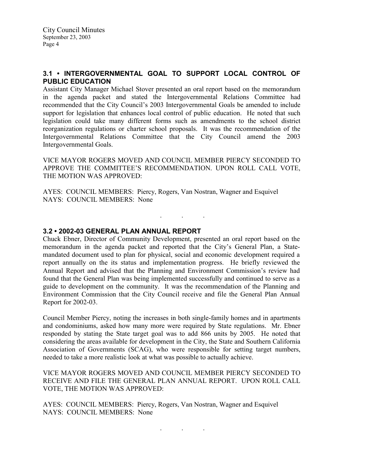# 3.1 • INTERGOVERNMENTAL GOAL TO SUPPORT LOCAL CONTROL OF PUBLIC EDUCATION

Assistant City Manager Michael Stover presented an oral report based on the memorandum in the agenda packet and stated the Intergovernmental Relations Committee had recommended that the City Council's 2003 Intergovernmental Goals be amended to include support for legislation that enhances local control of public education. He noted that such legislation could take many different forms such as amendments to the school district reorganization regulations or charter school proposals. It was the recommendation of the Intergovernmental Relations Committee that the City Council amend the 2003 Intergovernmental Goals.

VICE MAYOR ROGERS MOVED AND COUNCIL MEMBER PIERCY SECONDED TO APPROVE THE COMMITTEE'S RECOMMENDATION. UPON ROLL CALL VOTE, THE MOTION WAS APPROVED:

. . .

AYES: COUNCIL MEMBERS: Piercy, Rogers, Van Nostran, Wagner and Esquivel NAYS: COUNCIL MEMBERS: None

## 3.2 • 2002-03 GENERAL PLAN ANNUAL REPORT

Chuck Ebner, Director of Community Development, presented an oral report based on the memorandum in the agenda packet and reported that the City's General Plan, a Statemandated document used to plan for physical, social and economic development required a report annually on the its status and implementation progress. He briefly reviewed the Annual Report and advised that the Planning and Environment Commission's review had found that the General Plan was being implemented successfully and continued to serve as a guide to development on the community. It was the recommendation of the Planning and Environment Commission that the City Council receive and file the General Plan Annual Report for 2002-03.

Council Member Piercy, noting the increases in both single-family homes and in apartments and condominiums, asked how many more were required by State regulations. Mr. Ebner responded by stating the State target goal was to add 866 units by 2005. He noted that considering the areas available for development in the City, the State and Southern California Association of Governments (SCAG), who were responsible for setting target numbers, needed to take a more realistic look at what was possible to actually achieve.

VICE MAYOR ROGERS MOVED AND COUNCIL MEMBER PIERCY SECONDED TO RECEIVE AND FILE THE GENERAL PLAN ANNUAL REPORT. UPON ROLL CALL VOTE, THE MOTION WAS APPROVED:

AYES: COUNCIL MEMBERS: Piercy, Rogers, Van Nostran, Wagner and Esquivel NAYS: COUNCIL MEMBERS: None

. . .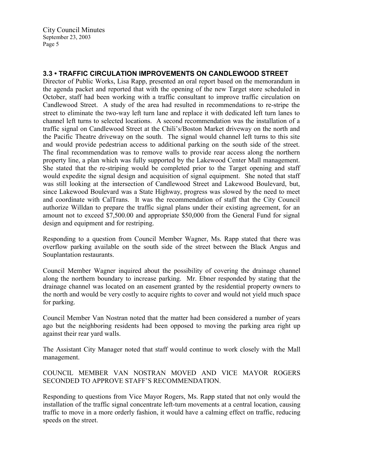# 3.3 • TRAFFIC CIRCULATION IMPROVEMENTS ON CANDLEWOOD STREET

Director of Public Works, Lisa Rapp, presented an oral report based on the memorandum in the agenda packet and reported that with the opening of the new Target store scheduled in October, staff had been working with a traffic consultant to improve traffic circulation on Candlewood Street. A study of the area had resulted in recommendations to re-stripe the street to eliminate the two-way left turn lane and replace it with dedicated left turn lanes to channel left turns to selected locations. A second recommendation was the installation of a traffic signal on Candlewood Street at the Chili's/Boston Market driveway on the north and the Pacific Theatre driveway on the south. The signal would channel left turns to this site and would provide pedestrian access to additional parking on the south side of the street. The final recommendation was to remove walls to provide rear access along the northern property line, a plan which was fully supported by the Lakewood Center Mall management. She stated that the re-striping would be completed prior to the Target opening and staff would expedite the signal design and acquisition of signal equipment. She noted that staff was still looking at the intersection of Candlewood Street and Lakewood Boulevard, but, since Lakewood Boulevard was a State Highway, progress was slowed by the need to meet and coordinate with CalTrans. It was the recommendation of staff that the City Council authorize Willdan to prepare the traffic signal plans under their existing agreement, for an amount not to exceed \$7,500.00 and appropriate \$50,000 from the General Fund for signal design and equipment and for restriping.

Responding to a question from Council Member Wagner, Ms. Rapp stated that there was overflow parking available on the south side of the street between the Black Angus and Souplantation restaurants.

Council Member Wagner inquired about the possibility of covering the drainage channel along the northern boundary to increase parking. Mr. Ebner responded by stating that the drainage channel was located on an easement granted by the residential property owners to the north and would be very costly to acquire rights to cover and would not yield much space for parking.

Council Member Van Nostran noted that the matter had been considered a number of years ago but the neighboring residents had been opposed to moving the parking area right up against their rear yard walls.

The Assistant City Manager noted that staff would continue to work closely with the Mall management.

COUNCIL MEMBER VAN NOSTRAN MOVED AND VICE MAYOR ROGERS SECONDED TO APPROVE STAFF'S RECOMMENDATION.

Responding to questions from Vice Mayor Rogers, Ms. Rapp stated that not only would the installation of the traffic signal concentrate left-turn movements at a central location, causing traffic to move in a more orderly fashion, it would have a calming effect on traffic, reducing speeds on the street.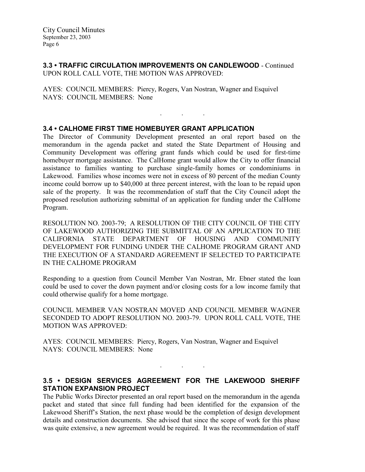3.3 • TRAFFIC CIRCULATION IMPROVEMENTS ON CANDLEWOOD - Continued UPON ROLL CALL VOTE, THE MOTION WAS APPROVED:

AYES: COUNCIL MEMBERS: Piercy, Rogers, Van Nostran, Wagner and Esquivel NAYS: COUNCIL MEMBERS: None

## 3.4 • CALHOME FIRST TIME HOMEBUYER GRANT APPLICATION

The Director of Community Development presented an oral report based on the memorandum in the agenda packet and stated the State Department of Housing and Community Development was offering grant funds which could be used for first-time homebuyer mortgage assistance. The CalHome grant would allow the City to offer financial assistance to families wanting to purchase single-family homes or condominiums in Lakewood. Families whose incomes were not in excess of 80 percent of the median County income could borrow up to \$40,000 at three percent interest, with the loan to be repaid upon sale of the property. It was the recommendation of staff that the City Council adopt the proposed resolution authorizing submittal of an application for funding under the CalHome Program.

. . .

RESOLUTION NO. 2003-79; A RESOLUTION OF THE CITY COUNCIL OF THE CITY OF LAKEWOOD AUTHORIZING THE SUBMITTAL OF AN APPLICATION TO THE CALIFORNIA STATE DEPARTMENT OF HOUSING AND COMMUNITY DEVELOPMENT FOR FUNDING UNDER THE CALHOME PROGRAM GRANT AND THE EXECUTION OF A STANDARD AGREEMENT IF SELECTED TO PARTICIPATE IN THE CALHOME PROGRAM

Responding to a question from Council Member Van Nostran, Mr. Ebner stated the loan could be used to cover the down payment and/or closing costs for a low income family that could otherwise qualify for a home mortgage.

COUNCIL MEMBER VAN NOSTRAN MOVED AND COUNCIL MEMBER WAGNER SECONDED TO ADOPT RESOLUTION NO. 2003-79. UPON ROLL CALL VOTE, THE MOTION WAS APPROVED:

AYES: COUNCIL MEMBERS: Piercy, Rogers, Van Nostran, Wagner and Esquivel NAYS: COUNCIL MEMBERS: None

# 3.5 • DESIGN SERVICES AGREEMENT FOR THE LAKEWOOD SHERIFF STATION EXPANSION PROJECT

. . .

The Public Works Director presented an oral report based on the memorandum in the agenda packet and stated that since full funding had been identified for the expansion of the Lakewood Sheriff's Station, the next phase would be the completion of design development details and construction documents. She advised that since the scope of work for this phase was quite extensive, a new agreement would be required. It was the recommendation of staff